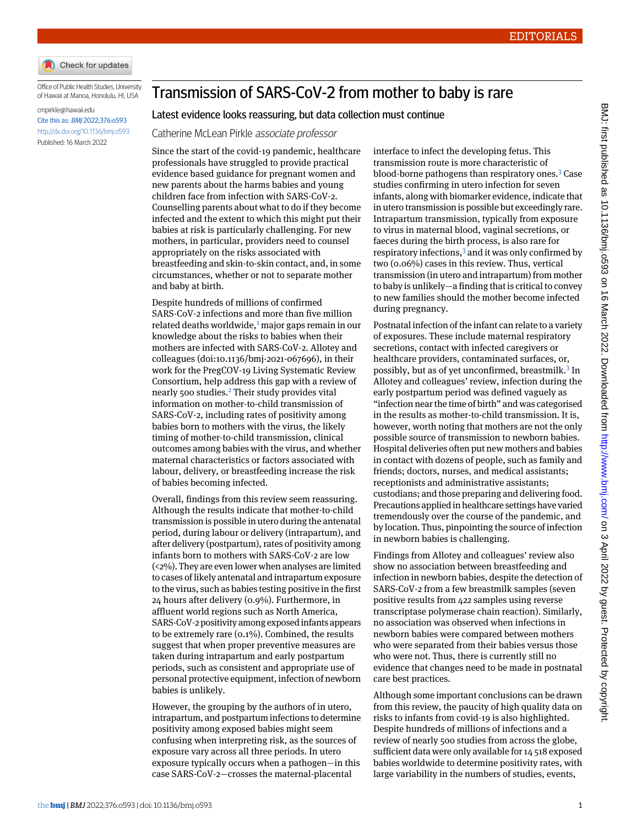

Office of Public Health Studies, University of Hawaii at Manoa, Honolulu, HI, USA

## [cmpirkle@hawaii.edu](mailto:cmpirkle@hawaii.edu) Cite this as: BMJ 2022;376:o593 <http://dx.doi.org/10.1136/bmj.o593>

Published: 16 March 2022

## Transmission of SARS-CoV-2 from mother to baby is rare

## Latest evidence looks reassuring, but data collection must continue

Catherine McLean Pirkle associate professor

Since the start of the covid-19 pandemic, healthcare professionals have struggled to provide practical evidence based guidance for pregnant women and new parents about the harms babies and young children face from infection with SARS-CoV-2. Counselling parents about what to do if they become infected and the extent to which this might put their babies at risk is particularly challenging. For new mothers, in particular, providers need to counsel appropriately on the risks associated with breastfeeding and skin-to-skin contact, and, in some circumstances, whether or not to separate mother and baby at birth.

Despite hundreds of millions of confirmed SARS-CoV-2 infections and more than five million related deaths worldwide,<sup>[1](#page-1-0)</sup> major gaps remain in our knowledge about the risks to babies when their mothers are infected with SARS-CoV-2. Allotey and colleagues (doi:[10.1136/bmj-2021-067696\)](http://dx.doi.org/10.1136/bmj-2021-067696), in their work for the PregCOV-19 Living Systematic Review Consortium, help address this gap with a review of nearly 500 studies.<sup>[2](#page-1-1)</sup> Their study provides vital information on mother-to-child transmission of SARS-CoV-2, including rates of positivity among babies born to mothers with the virus, the likely timing of mother-to-child transmission, clinical outcomes among babies with the virus, and whether maternal characteristics or factors associated with labour, delivery, or breastfeeding increase the risk of babies becoming infected.

Overall, findings from this review seem reassuring. Although the results indicate that mother-to-child transmission is possible in utero during the antenatal period, during labour or delivery (intrapartum), and after delivery (postpartum), rates of positivity among infants born to mothers with SARS-CoV-2 are low (<2%). They are even lower when analyses are limited to cases of likely antenatal and intrapartum exposure to the virus, such as babies testing positive in the first 24 hours after delivery (0.9%). Furthermore, in affluent world regions such as North America, SARS-CoV-2 positivity among exposedinfants appears to be extremely rare (0.1%). Combined, the results suggest that when proper preventive measures are taken during intrapartum and early postpartum periods, such as consistent and appropriate use of personal protective equipment, infection of newborn babies is unlikely.

However, the grouping by the authors of in utero, intrapartum, and postpartum infections to determine positivity among exposed babies might seem confusing when interpreting risk, as the sources of exposure vary across all three periods. In utero exposure typically occurs when a pathogen—in this case SARS-CoV-2—crosses the maternal-placental

interface to infect the developing fetus. This transmission route is more characteristic of blood-borne pathogens than respiratory ones.[3](#page-1-2) Case studies confirming in utero infection for seven infants, along with biomarker evidence, indicate that in utero transmission is possible but exceedingly rare. Intrapartum transmission, typically from exposure to virus in maternal blood, vaginal secretions, or faeces during the birth process, is also rare for respiratory infections, $3$  and it was only confirmed by two (0.06%) cases in this review. Thus, vertical transmission (in utero and intrapartum) from mother to baby is unlikely—a finding that is critical to convey to new families should the mother become infected during pregnancy.

Postnatal infection of the infant can relate to a variety of exposures. These include maternal respiratory secretions, contact with infected caregivers or healthcare providers, contaminated surfaces, or, possibly, but as of yet unconfirmed, breastmilk.<sup>[3](#page-1-2)</sup> In Allotey and colleagues' review, infection during the early postpartum period was defined vaguely as "infection near the time of birth" and was categorised in the results as mother-to-child transmission. It is, however, worth noting that mothers are not the only possible source of transmission to newborn babies. Hospital deliveries often put new mothers and babies in contact with dozens of people, such as family and friends; doctors, nurses, and medical assistants; receptionists and administrative assistants; custodians; and those preparing and delivering food. Precautions applied in healthcare settings have varied tremendously over the course of the pandemic, and by location. Thus, pinpointing the source of infection in newborn babies is challenging.

Findings from Allotey and colleagues' review also show no association between breastfeeding and infection in newborn babies, despite the detection of SARS-CoV-2 from a few breastmilk samples (seven positive results from 422 samples using reverse transcriptase polymerase chain reaction). Similarly, no association was observed when infections in newborn babies were compared between mothers who were separated from their babies versus those who were not. Thus, there is currently still no evidence that changes need to be made in postnatal care best practices.

Although some important conclusions can be drawn from this review, the paucity of high quality data on risks to infants from covid-19 is also highlighted. Despite hundreds of millions of infections and a review of nearly 500 studies from across the globe, sufficient data were only available for 14 518 exposed babies worldwide to determine positivity rates, with large variability in the numbers of studies, events,